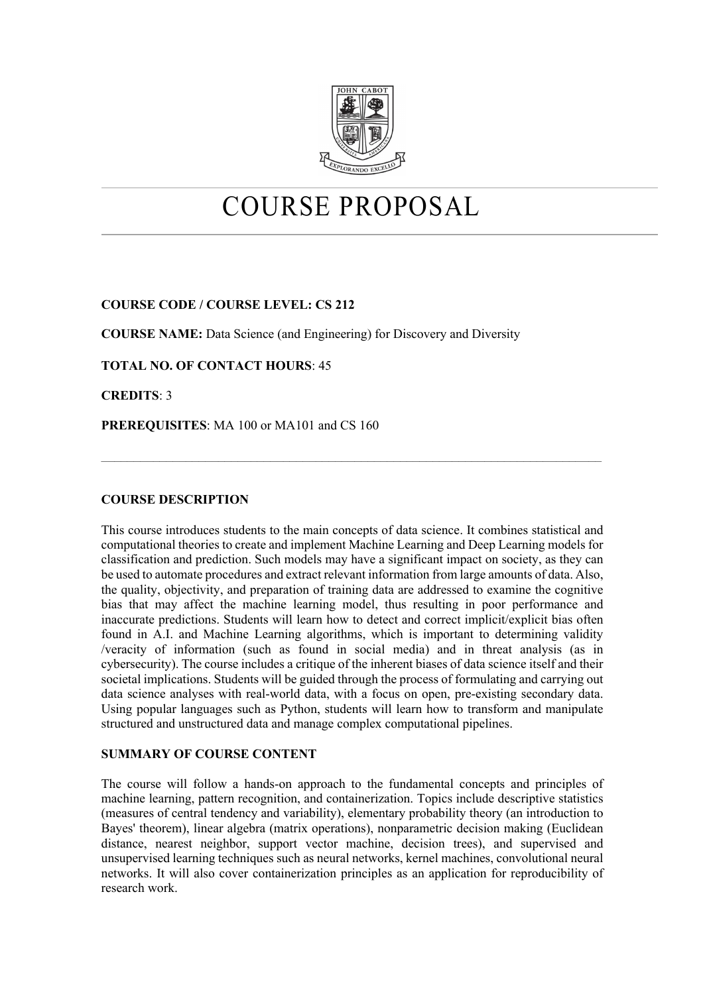

# COURSE PROPOSAL

# **COURSE CODE / COURSE LEVEL: CS 212**

**COURSE NAME:** Data Science (and Engineering) for Discovery and Diversity

**TOTAL NO. OF CONTACT HOURS**: 45

**CREDITS**: 3

**PREREQUISITES**: MA 100 or MA101 and CS 160

# **COURSE DESCRIPTION**

This course introduces students to the main concepts of data science. It combines statistical and computational theories to create and implement Machine Learning and Deep Learning models for classification and prediction. Such models may have a significant impact on society, as they can be used to automate procedures and extract relevant information from large amounts of data. Also, the quality, objectivity, and preparation of training data are addressed to examine the cognitive bias that may affect the machine learning model, thus resulting in poor performance and inaccurate predictions. Students will learn how to detect and correct implicit/explicit bias often found in A.I. and Machine Learning algorithms, which is important to determining validity /veracity of information (such as found in social media) and in threat analysis (as in cybersecurity). The course includes a critique of the inherent biases of data science itself and their societal implications. Students will be guided through the process of formulating and carrying out data science analyses with real-world data, with a focus on open, pre-existing secondary data. Using popular languages such as Python, students will learn how to transform and manipulate structured and unstructured data and manage complex computational pipelines.

 $\mathcal{L}_\mathcal{L} = \{ \mathcal{L}_\mathcal{L} = \{ \mathcal{L}_\mathcal{L} = \{ \mathcal{L}_\mathcal{L} = \{ \mathcal{L}_\mathcal{L} = \{ \mathcal{L}_\mathcal{L} = \{ \mathcal{L}_\mathcal{L} = \{ \mathcal{L}_\mathcal{L} = \{ \mathcal{L}_\mathcal{L} = \{ \mathcal{L}_\mathcal{L} = \{ \mathcal{L}_\mathcal{L} = \{ \mathcal{L}_\mathcal{L} = \{ \mathcal{L}_\mathcal{L} = \{ \mathcal{L}_\mathcal{L} = \{ \mathcal{L}_\mathcal{$ 

### **SUMMARY OF COURSE CONTENT**

The course will follow a hands-on approach to the fundamental concepts and principles of machine learning, pattern recognition, and containerization. Topics include descriptive statistics (measures of central tendency and variability), elementary probability theory (an introduction to Bayes' theorem), linear algebra (matrix operations), nonparametric decision making (Euclidean distance, nearest neighbor, support vector machine, decision trees), and supervised and unsupervised learning techniques such as neural networks, kernel machines, convolutional neural networks. It will also cover containerization principles as an application for reproducibility of research work.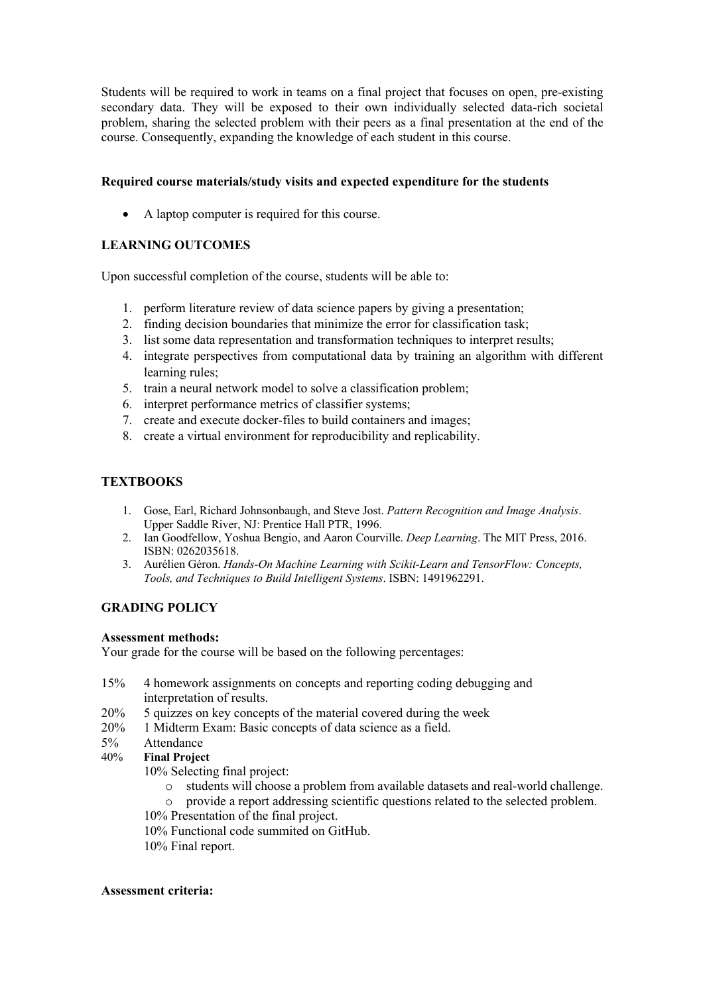Students will be required to work in teams on a final project that focuses on open, pre-existing secondary data. They will be exposed to their own individually selected data-rich societal problem, sharing the selected problem with their peers as a final presentation at the end of the course. Consequently, expanding the knowledge of each student in this course.

# **Required course materials/study visits and expected expenditure for the students**

• A laptop computer is required for this course.

# **LEARNING OUTCOMES**

Upon successful completion of the course, students will be able to:

- 1. perform literature review of data science papers by giving a presentation;
- 2. finding decision boundaries that minimize the error for classification task;
- 3. list some data representation and transformation techniques to interpret results;
- 4. integrate perspectives from computational data by training an algorithm with different learning rules;
- 5. train a neural network model to solve a classification problem;
- 6. interpret performance metrics of classifier systems;
- 7. create and execute docker-files to build containers and images;
- 8. create a virtual environment for reproducibility and replicability.

# **TEXTBOOKS**

- 1. Gose, Earl, Richard Johnsonbaugh, and Steve Jost. *Pattern Recognition and Image Analysis*. Upper Saddle River, NJ: Prentice Hall PTR, 1996.
- 2. Ian Goodfellow, Yoshua Bengio, and Aaron Courville. *Deep Learning*. The MIT Press, 2016. ISBN: 0262035618.
- 3. Aurélien Géron. *Hands-On Machine Learning with Scikit-Learn and TensorFlow: Concepts, Tools, and Techniques to Build Intelligent Systems*. ISBN: 1491962291.

# **GRADING POLICY**

### **Assessment methods:**

Your grade for the course will be based on the following percentages:

- 15% 4 homework assignments on concepts and reporting coding debugging and interpretation of results.
- 20% 5 quizzes on key concepts of the material covered during the week
- 20% 1 Midterm Exam: Basic concepts of data science as a field.
- 
- 5% Attendance<br>40% Final Projec **Final Project**

10% Selecting final project:

- o students will choose a problem from available datasets and real-world challenge.
- o provide a report addressing scientific questions related to the selected problem.
- 10% Presentation of the final project.
- 10% Functional code summited on GitHub.
- 10% Final report.

### **Assessment criteria:**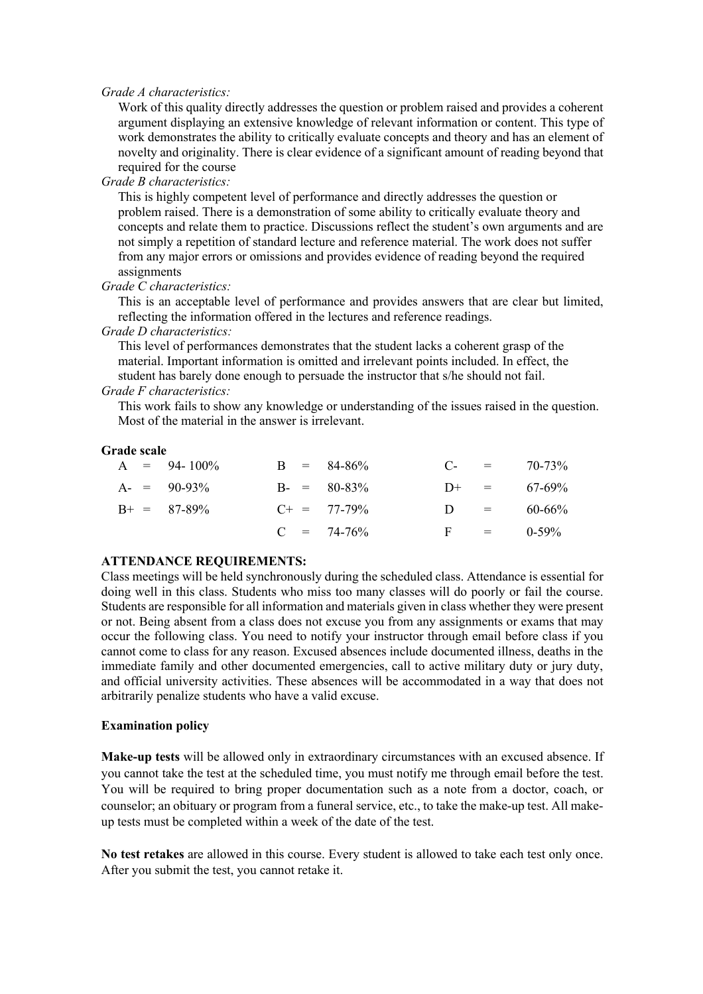*Grade A characteristics:*

Work of this quality directly addresses the question or problem raised and provides a coherent argument displaying an extensive knowledge of relevant information or content. This type of work demonstrates the ability to critically evaluate concepts and theory and has an element of novelty and originality. There is clear evidence of a significant amount of reading beyond that required for the course

### *Grade B characteristics:*

This is highly competent level of performance and directly addresses the question or problem raised. There is a demonstration of some ability to critically evaluate theory and concepts and relate them to practice. Discussions reflect the student's own arguments and are not simply a repetition of standard lecture and reference material. The work does not suffer from any major errors or omissions and provides evidence of reading beyond the required assignments

### *Grade C characteristics:*

This is an acceptable level of performance and provides answers that are clear but limited, reflecting the information offered in the lectures and reference readings.

### *Grade D characteristics:*

This level of performances demonstrates that the student lacks a coherent grasp of the material. Important information is omitted and irrelevant points included. In effect, the student has barely done enough to persuade the instructor that s/he should not fail. *Grade F characteristics:*

This work fails to show any knowledge or understanding of the issues raised in the question. Most of the material in the answer is irrelevant.

### **Grade scale**

|  | $A = 94-100\%$  |  | $B = 84-86%$     | $C_{\tau}$   | $\mathbf{r} = \mathbf{r}$ | 70-73%      |
|--|-----------------|--|------------------|--------------|---------------------------|-------------|
|  | $A = 90-93\%$   |  | $B - = 80-83\%$  | $D+ =$       |                           | 67-69%      |
|  | $B^+ = 87-89\%$ |  | $C_{+}$ = 77-79% | $\mathbf{D}$ | $=$                       | $60 - 66\%$ |
|  |                 |  | $C = 74-76%$     | $F =$        | $\alpha = 1$              | $0-59\%$    |

### **ATTENDANCE REQUIREMENTS:**

Class meetings will be held synchronously during the scheduled class. Attendance is essential for doing well in this class. Students who miss too many classes will do poorly or fail the course. Students are responsible for all information and materials given in class whether they were present or not. Being absent from a class does not excuse you from any assignments or exams that may occur the following class. You need to notify your instructor through email before class if you cannot come to class for any reason. Excused absences include documented illness, deaths in the immediate family and other documented emergencies, call to active military duty or jury duty, and official university activities. These absences will be accommodated in a way that does not arbitrarily penalize students who have a valid excuse.

### **Examination policy**

**Make-up tests** will be allowed only in extraordinary circumstances with an excused absence. If you cannot take the test at the scheduled time, you must notify me through email before the test. You will be required to bring proper documentation such as a note from a doctor, coach, or counselor; an obituary or program from a funeral service, etc., to take the make-up test. All makeup tests must be completed within a week of the date of the test.

**No test retakes** are allowed in this course. Every student is allowed to take each test only once. After you submit the test, you cannot retake it.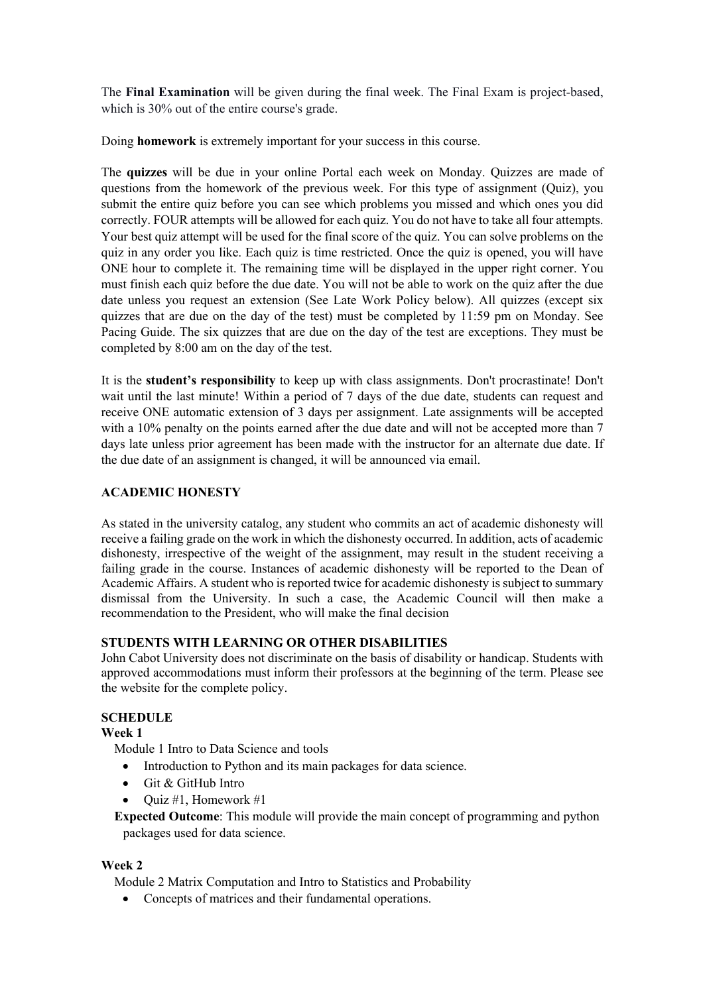The **Final Examination** will be given during the final week. The Final Exam is project-based, which is 30% out of the entire course's grade.

Doing **homework** is extremely important for your success in this course.

The **quizzes** will be due in your online Portal each week on Monday. Quizzes are made of questions from the homework of the previous week. For this type of assignment (Quiz), you submit the entire quiz before you can see which problems you missed and which ones you did correctly. FOUR attempts will be allowed for each quiz. You do not have to take all four attempts. Your best quiz attempt will be used for the final score of the quiz. You can solve problems on the quiz in any order you like. Each quiz is time restricted. Once the quiz is opened, you will have ONE hour to complete it. The remaining time will be displayed in the upper right corner. You must finish each quiz before the due date. You will not be able to work on the quiz after the due date unless you request an extension (See Late Work Policy below). All quizzes (except six quizzes that are due on the day of the test) must be completed by 11:59 pm on Monday. See Pacing Guide. The six quizzes that are due on the day of the test are exceptions. They must be completed by 8:00 am on the day of the test.

It is the **student's responsibility** to keep up with class assignments. Don't procrastinate! Don't wait until the last minute! Within a period of 7 days of the due date, students can request and receive ONE automatic extension of 3 days per assignment. Late assignments will be accepted with a 10% penalty on the points earned after the due date and will not be accepted more than 7 days late unless prior agreement has been made with the instructor for an alternate due date. If the due date of an assignment is changed, it will be announced via email.

# **ACADEMIC HONESTY**

As stated in the university catalog, any student who commits an act of academic dishonesty will receive a failing grade on the work in which the dishonesty occurred. In addition, acts of academic dishonesty, irrespective of the weight of the assignment, may result in the student receiving a failing grade in the course. Instances of academic dishonesty will be reported to the Dean of Academic Affairs. A student who is reported twice for academic dishonesty is subject to summary dismissal from the University. In such a case, the Academic Council will then make a recommendation to the President, who will make the final decision

# **STUDENTS WITH LEARNING OR OTHER DISABILITIES**

John Cabot University does not discriminate on the basis of disability or handicap. Students with approved accommodations must inform their professors at the beginning of the term. Please see the website for the complete policy.

# **SCHEDULE**

**Week 1**

Module 1 Intro to Data Science and tools

- Introduction to Python and its main packages for data science.
- Git & GitHub Intro
- Quiz #1, Homework #1

 **Expected Outcome**: This module will provide the main concept of programming and python packages used for data science.

# **Week 2**

Module 2 Matrix Computation and Intro to Statistics and Probability

• Concepts of matrices and their fundamental operations.